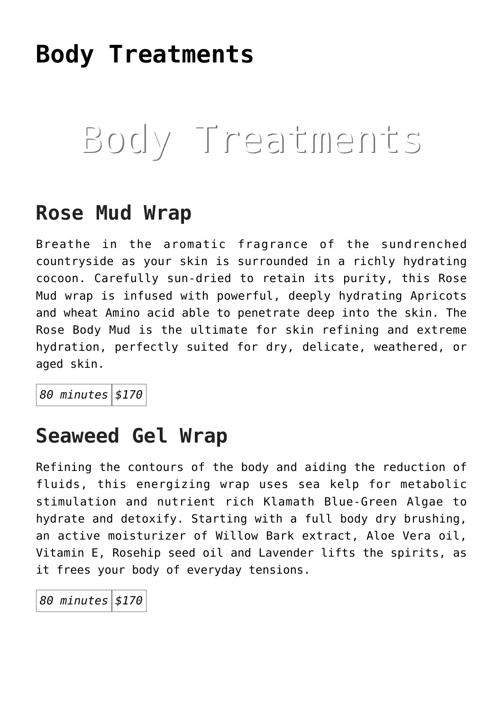# **[Body Treatments](https://thegreenhousedayspa.com/body-treatments/)**

# Body Treatments

#### **Rose Mud Wrap**

Breathe in the aromatic fragrance of the sundrenched countryside as your skin is surrounded in a richly hydrating cocoon. Carefully sun-dried to retain its purity, this Rose Mud wrap is infused with powerful, deeply hydrating Apricots and wheat Amino acid able to penetrate deep into the skin. The Rose Body Mud is the ultimate for skin refining and extreme hydration, perfectly suited for dry, delicate, weathered, or aged skin.

*80 minutes \$170*

#### **Seaweed Gel Wrap**

Refining the contours of the body and aiding the reduction of fluids, this energizing wrap uses sea kelp for metabolic stimulation and nutrient rich Klamath Blue-Green Algae to hydrate and detoxify. Starting with a full body dry brushing, an active moisturizer of Willow Bark extract, Aloe Vera oil, Vitamin E, Rosehip seed oil and Lavender lifts the spirits, as it frees your body of everyday tensions.

*80 minutes \$170*